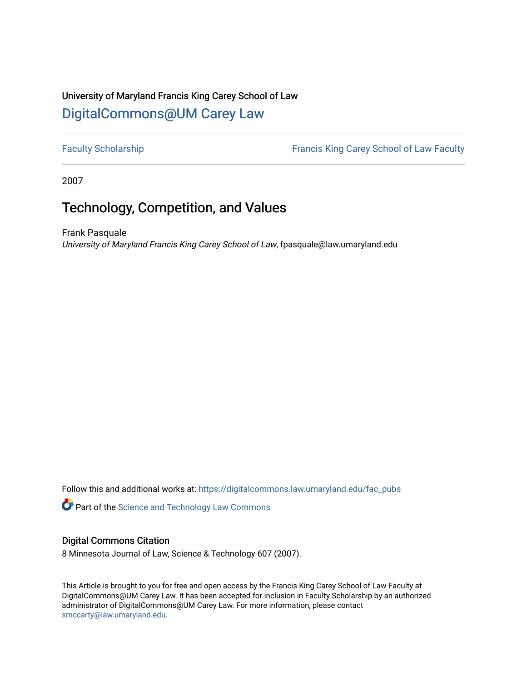## University of Maryland Francis King Carey School of Law [DigitalCommons@UM Carey Law](https://digitalcommons.law.umaryland.edu/)

[Faculty Scholarship](https://digitalcommons.law.umaryland.edu/fac_pubs) **Francis King Carey School of Law Faculty** 

2007

# Technology, Competition, and Values

Frank Pasquale University of Maryland Francis King Carey School of Law, fpasquale@law.umaryland.edu

Follow this and additional works at: [https://digitalcommons.law.umaryland.edu/fac\\_pubs](https://digitalcommons.law.umaryland.edu/fac_pubs?utm_source=digitalcommons.law.umaryland.edu%2Ffac_pubs%2F1354&utm_medium=PDF&utm_campaign=PDFCoverPages) 

**Part of the [Science and Technology Law Commons](http://network.bepress.com/hgg/discipline/875?utm_source=digitalcommons.law.umaryland.edu%2Ffac_pubs%2F1354&utm_medium=PDF&utm_campaign=PDFCoverPages)** 

#### Digital Commons Citation

8 Minnesota Journal of Law, Science & Technology 607 (2007).

This Article is brought to you for free and open access by the Francis King Carey School of Law Faculty at DigitalCommons@UM Carey Law. It has been accepted for inclusion in Faculty Scholarship by an authorized administrator of DigitalCommons@UM Carey Law. For more information, please contact [smccarty@law.umaryland.edu](mailto:smccarty@law.umaryland.edu).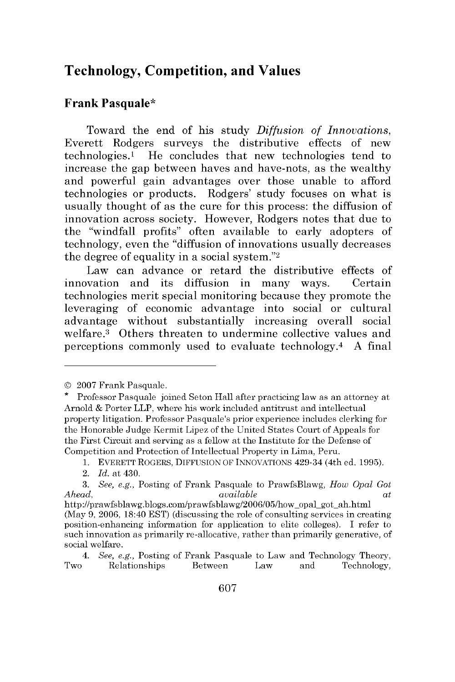### **Technology, Competition, and Values**

#### **Frank Pasquale\***

Toward the end of his study *Diffusion* of *Innovations,* Everett Rodgers surveys the distributive effects of new technologies.1 He concludes that new technologies tend to increase the gap between haves and have-nots, as the wealthy and powerful gain advantages over those unable to afford technologies or products. Rodgers' study focuses on what is usually thought of as the cure for this process: the diffusion of innovation across society. However, Rodgers notes that due to the "windfall profits" often available to early adopters of technology, even the "diffusion of innovations usually decreases the degree of equality in a social system." $2$ 

Law can advance or retard the distributive effects of innovation and its diffusion in many ways. Certain technologies merit special monitoring because they promote the leveraging of economic advantage into social or cultural advantage without substantially increasing overall social welfare.3 Others threaten to undermine collective values and perceptions commonly used to evaluate technology. 4 A final

<sup>© 2007</sup> Frank Pasquale. \* Professor Pasquale joined Seton Hall after practicing law as an attorney at Arnold & Porter LLP, where his work included antitrust and intellectual property litigation. Professor Pasquale's prior experience includes clerking for the Honorable Judge Kermit Lipez of the United States Court of Appeals for the First Circuit and serving as a fellow at the Institute for the Defense of Competition and Protection of Intellectual Property in Lima, Peru.

<sup>1.</sup> EVERETT ROGERS, DIFFUSION OF INNOVATIONS 429-34 (4th ed. 1995).

<sup>2.</sup> *Id.* at 430.

*<sup>3.</sup> See, e.g.,* Posting of Frank Pasquale to PrawfsBlawg, *How Opal Got Ahead, available at*

http ://prawfsblawg.blogs.com/prawfsblawg/2006/05/how-opalgot-ah.html (May **9,** 2006, 18:40 EST) (discussing the role of consulting services in creating position-enhancing information for application to elite colleges). I refer to such innovation as primarily re-allocative, rather than primarily generative, of social welfare.

*<sup>4.</sup> See, e.g.,* Posting of Frank Pasquale to Law and Technology Theory, Two Relationships Between Law and Technology,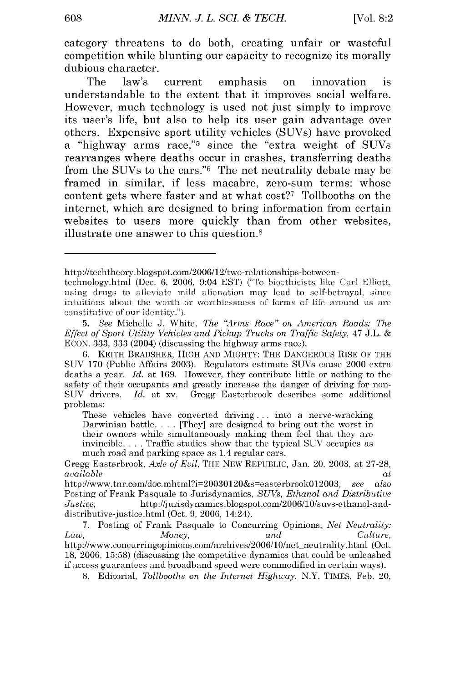category threatens to do both, creating unfair or wasteful competition while blunting our capacity to recognize its morally dubious character.

The law's current emphasis on innovation **is** understandable to the extent that it improves social welfare. However, much technology is used not just simply to improve its user's life, but also to help its user gain advantage over others. Expensive sport utility vehicles (SUVs) have provoked a "highway arms race,"5 since the "extra weight of SUVs rearranges where deaths occur in crashes, transferring deaths from the SUVs to the cars."6 The net neutrality debate may be framed in similar, **if** less macabre, zero-sum terms: whose content gets where faster and at what cost?<sup>7</sup> Tollbooths on the internet, which are designed to bring information from certain websites to users more quickly than from other websites, illustrate one answer to this question.8

http ://techtheory.blogspot.com/2006/12/two-relationships-between-

technology.html (Dec. 6, 2006, 9:04 EST) ("To biorthicists like Carl Elliott, using drugs to alleviate mild alienation may lead to self-betrayal, since intuitions aboat the worth or worthlesness of forms of life around us are constitutive of our identity.").

*<sup>5.</sup> See* Michelle J. White, *The 'Arms Race" on American Roads: The Effect of Sport Utility Vehicles and Pickup Trucks on Traffic Safety,* 47 J.L. & ECON. 333, 333 (2004) (discussing the highway arms race).

**<sup>6.</sup>** KEITH BRADSHER, HIGH AND MIGHTY: THE DANGEROUS RISE OF THE SUV 170 (Public Affairs 2003). Regulators estimate SUVs cause 2000 extra deaths a year. *Id.* at 169. However, they contribute little or nothing to the safety of their occupants and greatly increase the danger of driving for non-SUV drivers. *Id.* at xv. Gregg Easterbrook describes some additional problems:

These vehicles have converted driving **...** into a nerve-wracking Darwinian battle.... [They] are designed to bring out the worst in their owners while simultaneously making them feel that they are invincible **....** Traffic studies show that the typical SUV occupies as much road and parking space as 1.4 regular cars.

Gregg Easterbrook, *Axle of Evil,* THE NEW REPUBLIC, Jan. 20, 2003, at 27-28, *available* at

http://www.tnr.com/doc.mhtml?i=20030120&s=easterbrook0l2003; *see also* Posting of Frank Pasquale to Jurisdynamics, *SUVs, Ethanol and Distributive Justice,* http://jurisdynamics.blogspot.com/2006/10/suvs-ethanol-anddistributive-justice.html (Oct. 9, 2006, 14:24).

<sup>7.</sup> Posting of Frank Pasquale to Concurring Opinions, *Net Neutrality:* Law, *Money,* and *Culture, Law, Money, and Culture,*<br>http://www.concurringopinions.com/archives/2006/10/net\_neutrality.html (Oct. 18, 2006, 15:58) (discussing the competitive dynamics that could be unleashed if access guarantees and broadband speed were commodified in certain ways).

<sup>8.</sup> Editorial, *Tollbooths on the Internet Highway,* N.Y. TIMES, Feb. 20,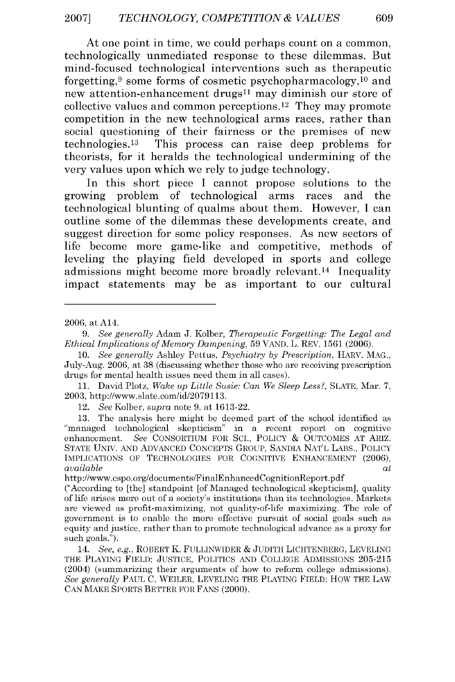At one point in time, we could perhaps count on a common, technologically unmediated response to these dilemmas. But mind-focused technological interventions such as therapeutic forgetting, 9 some forms of cosmetic psychopharmacology, 10 and new attention-enhancement drugs<sup>11</sup> may diminish our store of collective values and common perceptions. 12 They may promote competition in the new technological arms races, rather than social questioning of their fairness or the premises of new technologies. 13 This process can raise deep problems for theorists, for it heralds the technological undermining of the very values upon which we rely to judge technology.

In this short piece I cannot propose solutions to the growing problem of technological arms races and the technological blunting of qualms about them. However, I can outline some of the dilemmas these developments create, and suggest direction for some policy responses. As new sectors of life become more game-like and competitive, methods of leveling the playing field developed in sports and college admissions might become more broadly relevant.<sup>14</sup> Inequality impact statements may be as important to our cultural

12. See Kolber, *supra* note 9, at 1613-22.

http://www.cspo.org/documents/FinalEnhancedCognitionReport.pdf

<sup>2006,</sup> at A14.

*<sup>9.</sup> See generally* Adam J. Kolber, *Therapeutic Forgetting: The Legal and Ethical Implications of Memory Dampening,* 59 VAND. L. REV. 1561 (2006).

<sup>10.</sup> *See generally* Ashley Pettus, *Psychiatry by Prescription,* HARV. MAG., July-Aug. 2006, at 38 (discussing whether those who are receiving prescription drugs for mental health issues need them in all cases).

**<sup>11.</sup>** David Plotz, *Wake* up *Little* Susie: *Can We Sleep* Less?, **SLATE,** Mar. **7,** 2003, http://www.slate.com/id/2079113.

<sup>13.</sup> The analysis here might be deemed part of the school identified as 'managed technological skepticism" in a recent report on cognitive enhancement. *See* CONSORTIUM FOR SC., POLICY *&* OUTCOMES AT ARIZ. STATE UNIV. AND ADVANCED CONCEPTS GROUP, SANDIA NAT'L LABS., POLICY IMPLICATIONS OF TECHNOLOGIES FOR COGNITIVE ENHANCEMENT (2006), *available at*

<sup>(&</sup>quot;According to [the] standpoint [of Managed technological skepticism], quality of life arises more out of a society's institutions than its technologies. Markets are viewed as profit-maximizing, not quality-of-life maximizing. The role of government is to enable the more effective pursuit of social goals such as equity and justice, rather than to promote technological advance as a proxy for such goals.").

<sup>14.</sup> *See, e.g.,* ROBERT K. FULLINWIDER **&** JUDITH LICHTENBERG, LEVELING THE PLAYING FIELD: JUSTICE, POLITICS AND COLLEGE ADMISSIONS 205-215 (2004) (summarizing their arguments of how to reform college admissions). *See generally* PAUL C. WEILER, LEVELING THE PLAYING FIELD: HOW THE LAW CAN MAKE SPORTS BETTER FOR FANS (2000).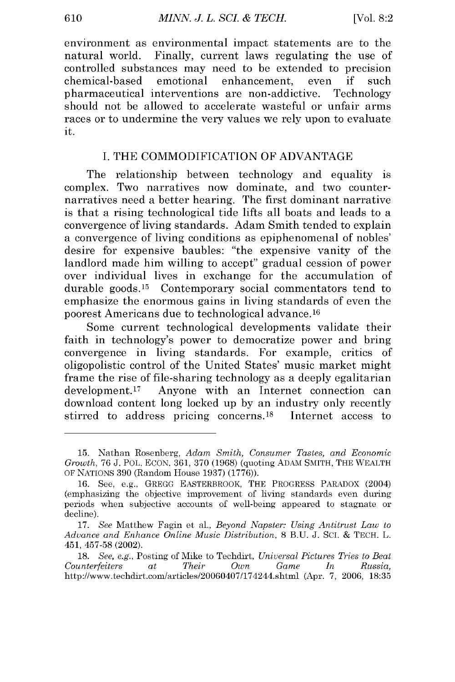environment as environmental impact statements are to the natural world. Finally, current laws regulating the use of controlled substances may need to be extended to precision chemical-based emotional enhancement, even if such pharmaceutical interventions are non-addictive. Technology should not be allowed to accelerate wasteful or unfair arms races or to undermine the very values we rely upon to evaluate it.

#### I. THE COMMODIFICATION OF ADVANTAGE

The relationship between technology and equality is complex. Two narratives now dominate, and two counternarratives need a better hearing. The first dominant narrative is that a rising technological tide lifts all boats and leads to a convergence of living standards. Adam Smith tended to explain a convergence of living conditions as epiphenomenal of nobles' desire for expensive baubles: "the expensive vanity of the landlord made him willing to accept" gradual cession of power over individual lives in exchange for the accumulation of durable goods.<sup>15</sup> Contemporary social commentators tend to emphasize the enormous gains in living standards of even the poorest Americans due to technological advance. 16

Some current technological developments validate their faith in technology's power to democratize power and bring convergence in living standards. For example, critics of oligopolistic control of the United States' music market might frame the rise of file-sharing technology as a deeply egalitarian development.17 Anyone with an Internet connection can download content long locked up by an industry only recently stirred to address pricing concerns.18 Internet access to

<sup>15.</sup> Nathan Rosenberg, *Adam Smith, Consumer Tastes, and Economic Growth,* 76 J. POL. ECON. 361, 370 (1968) (quoting ADAM SMITH, THE WEALTH OF NATIONS 390 (Random House 1937) (1776)).

<sup>16.</sup> See, e.g., GREGG EASTERBROOK, THE PROGRESS PARADOX (2004) (emphasizing the objective improvement of living standards even during periods when subjective accounts of well-being appeared to stagnate or decline).

<sup>17.</sup> *See* Matthew Fagin et al., *Beyond Napster: Using Antitrust Law to Advance and Enhance Online Music Distribution,* 8 B.U. J. Sci. & TECH. L. 451, 457-58 (2002).

<sup>18.</sup> *See, e.g.,* Posting of Mike to Techdirt, *Universal Pictures Tries to Beat Counterfeiters at Their Own Game In Russia,* http://www.techdirt.com/articles/20060407/174244.shtml (Apr. 7, 2006, 18:35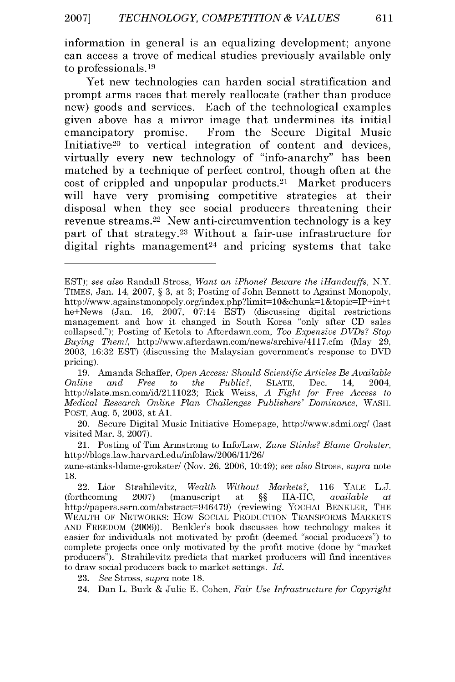information in general is an equalizing development; anyone can access a trove of medical studies previously available only to professionals. <sup>19</sup>

Yet new technologies can harden social stratification and prompt arms races that merely reallocate (rather than produce new) goods and services. Each of the technological examples given above has a mirror image that undermines its initial emancipatory promise. From the Secure Digital Music Initiative<sup>20</sup> to vertical integration of content and devices, virtually every new technology of "info-anarchy" has been matched **by** a technique of perfect control, though often at the cost of crippled and unpopular products.<sup>21</sup> Market producers will have very promising competitive strategies at their disposal when they see social producers threatening their revenue streams.22 New anti-circumvention technology is a key part of that strategy.<sup>23</sup> Without a fair-use infrastructure for digital rights management<sup>24</sup> and pricing systems that take

21. Posting of Tim Armstrong to Info/Law, *Zune Stinks? Blame Grokster,* http://blogs.law.harvard.edu/infolaw/2006/11/26/

zune-stinks-blame-grokster/ (Nov. 26, 2006, 10:49); *see also* Stross, *supra* note 18.

23. *See* Stross, *supra* note 18.

EST); *see also* Randall Stross, *Want an iPhone? Beware the iHandcuffs,* N.Y. TIMES, Jan. 14, 2007, § 3, at 3; Posting of John Bennett to Against Monopoly, http://www.againstmonopoly.org/index.php?limit=10&chunk=1&topic=IP+in+t he+News (Jan. 16, 2007, 07:14 EST) (discussing digital restrictions management and how it changed in South Korea "only after CD sales collapsed."); Posting of Ketola to Afterdawn.com, *Too Expensive DVDs? Stop Buying Them!,* http://www.afterdawn.com/news/archive/4117.cfm (May 29, 2003, 16:32 EST) (discussing the Malaysian government's response to DVD pricing).

<sup>19.</sup> Amanda Schaffer, *Open Access: Should Scientific Articles Be Available Online and Free to the Public?,* SLATE, Dec. 14, 2004, http://slate.msn.com/id/2111023; Rick Weiss, *A Fight for Free Access to Medical Research Online Plan Challenges Publishers' Dominance,* WASH. POST, Aug. 5, 2003, at **Al.**

<sup>20.</sup> Secure Digital Music Initiative Homepage, http://www.sdmi.org/ (last visited Mar. 3, 2007).

<sup>22.</sup> Lior Strahilevitz, *Wealth Without Markets?,* 116 YALE L.J. (forthcoming 2007) (manuscript at §§ IIA-IIC, *available at* http://papers.ssrn.com/abstract=946479) (reviewing YOCHAI BENKLER, THE WEALTH OF NETWORKS: *HOW* SOCIAL PRODUCTION TRANSFORMS MARKETS AND FREEDOM (2006)). Benkler's book discusses how technology makes it easier for individuals not motivated by profit (deemed "social producers") to complete projects once only motivated by the profit motive (done by "market producers"). Strahilevitz predicts that market producers will find incentives to draw social producers back to market settings. *Id.*

<sup>24.</sup> Dan L. Burk & Julie E. Cohen, *Fair Use Infrastructure for Copyright*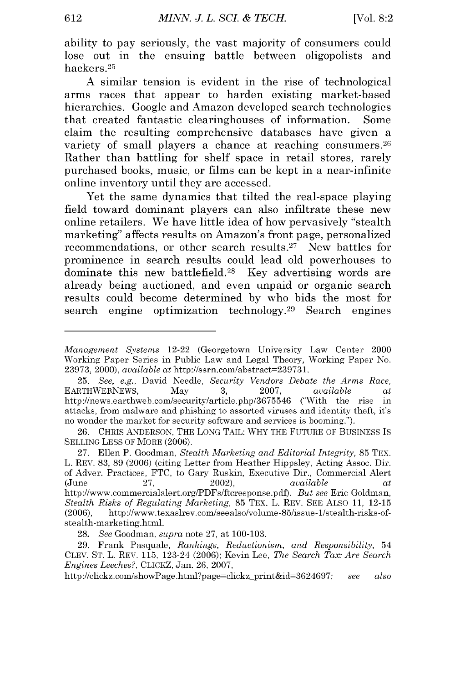ability to pay seriously, the vast majority of consumers could lose out in the ensuing battle between oligopolists and hackers.<sup>25</sup>

A similar tension is evident in the rise of technological arms races that appear to harden existing market-based hierarchies. Google and Amazon developed search technologies that created fantastic clearinghouses of information. Some claim the resulting comprehensive databases have given a variety of small players a chance at reaching consumers.<sup>26</sup> Rather than battling for shelf space in retail stores, rarely purchased books, music, or films can be kept in a near-infinite online inventory until they are accessed.

Yet the same dynamics that tilted the real-space playing field toward dominant players can also infiltrate these new online retailers. We have little idea of how pervasively "stealth marketing" affects results on Amazon's front page, personalized recommendations, or other search results.<sup>27</sup> New battles for prominence in search results could lead old powerhouses to dominate this new battlefield.<sup>28</sup> Key advertising words are already being auctioned, and even unpaid or organic search results could become determined by who bids the most for search engine optimization technology.<sup>29</sup> Search engines

*Management Systems* 12-22 (Georgetown University Law Center 2000 Working Paper Series in Public Law and Legal Theory, Working Paper No. 23973, 2000), *available at* http://ssrn.com/abstract=239731.

<sup>25.</sup> *See, e.g.,* David Needle, *Security Vendors Debate the Arms Race,* EARTHWEBNEWS, May 3, **2007,** *available at* http://news.earthweb.com/security/article.php/3675546 ("With the rise in attacks, from malware and phishing to assorted viruses and identity theft, it's no wonder the market for security software and services is booming.").

<sup>26.</sup> CHRIS ANDERSON, THE LONG TAIL: WHY THE FUTURE OF BUSINESS IS SELLING LESS OF MORE (2006).

<sup>27.</sup> Ellen P. Goodman, *Stealth Marketing and Editorial Integrity,* 85 TEX. L. REV. 83, 89 (2006) (citing Letter from Heather Hippsley, Acting Assoc. Dir. of Adver. Practices, FTC, to Gary Ruskin, Executive Dir., Commercial Alert  $(June 27, 2002), 2002)$ http://www.commercialalert.org/PDFs/ftcresponse.pd). *But see* Eric Goldman, *Stealth Risks of Regulating Marketing,* 85 TEX. L. REV. SEE ALSO 11, 12-15 (2006), http://www.texaslrev.com/seealso/volume-85/issue- 1/stealth-risks-ofstealth-marketing.html.

<sup>28.</sup> *See* Goodman, *supra* note 27, at 100-103.

<sup>29.</sup> Frank Pasquale, *Rankings, Reductionism, and Responsibility,* <sup>54</sup> CLEV. ST. L. REV. 115, 123-24 (2006); Kevin Lee, *The Search Tax: Are Search Engines Leeches?,* CLICKZ, Jan. 26, 2007,

http://clickz.com/showPage.html?page=clickz-print&id=3624697; *see also*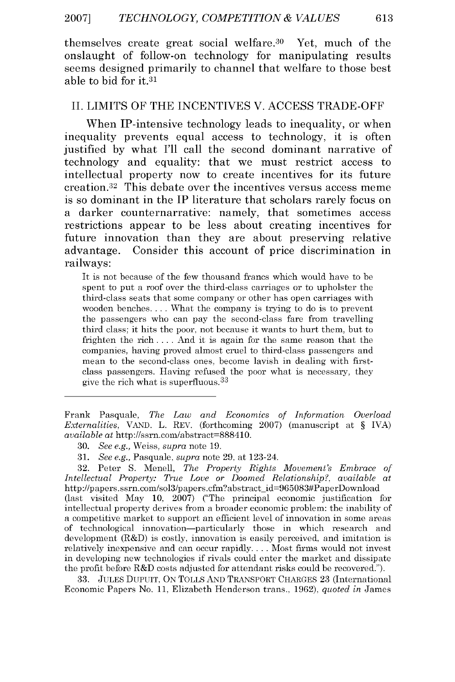themselves create great social welfare.<sup>30</sup> Yet, much of the onslaught of follow-on technology for manipulating results seems designed primarily to channel that welfare to those best able to **bid** for **it.31**

#### **II.** LIMITS OF THE **INCENTIVES** V. **ACCESS** TRADE-OFF

When IP-intensive technology leads to inequality, or when inequality prevents equal access to technology, it is often justified **by** what **I'll** call the second dominant narrative of technology and equality: that we must restrict access to intellectual property now to create incentives for its future creation. 32 This debate over the incentives versus access meme is so dominant in the **IP** literature that scholars rarely focus on a darker counternarrative: namely, that sometimes access restrictions appear to be less about creating incentives for future innovation than they are about preserving relative advantage. Consider this account of price discrimination in railways:

It is not because of the few thousand francs which would have to be spent to put a roof over the third-class carriages or to upholster the third-class seats that some company or other has open carriages with wooden benches. ... What the company is trying to do is to prevent the passengers who can pay the second-class fare from travelling third class; it hits the poor, not because it wants to hurt them, but to frighten the rich .... And it is again for the same reason that the companies, having proved almost cruel to third-class passengers and mean to the second-class ones, become lavish in dealing with firstclass passengers. Having refused the poor what is necessary, they give the rich what is superfluous.<sup>33</sup>

32. Peter S. Menell, *The Property Rights Movement's Embrace of Intellectual Property: True Love or Doomed Relationship?, available at* http://papers.ssrn.com/sol3/papers.cfm?abstract\_id=965083#PaperDownload (last visited May 10, 2007) ("The principal economic justification for intellectual property derives from a broader economic problem: the inability of a competitive market to support an efficient level of innovation in some areas of technological innovation-particularly those in which research and development  $(R&D)$  is costly, innovation is easily perceived, and imitation is relatively inexpensive and can occur rapidly **....** Most firms would not invest in developing new technologies if rivals could enter the market and dissipate the profit before R&D costs adjusted for attendant risks could be recovered.").

33. JULES DUPUIT, ON TOLLS AND TRANSPORT CHARGES 23 (International Economic Papers No. 11, Elizabeth Henderson trans., 1962), *quoted in* James

Frank Pasquale, *The Law and Economics of Information Overload Externalities,* VAND. L. REV. (forthcoming 2007) (manuscript at § IVA) *available* at http://ssrn.com/abstract=888410.

<sup>30.</sup> *See e.g.,* Weiss, *supra* note 19.

<sup>31.</sup> *See e.g.,* Pasquale, *supra* note 29, at 123-24.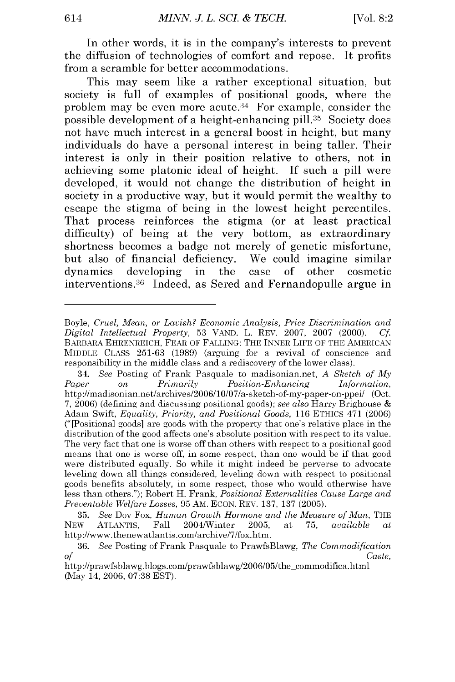In other words, it is in the company's interests to prevent the diffusion of technologies of comfort and repose. It profits from a scramble for better accommodations.

This may seem like a rather exceptional situation, but society is full of examples of positional goods, where the problem may be even more acute.<sup>34</sup> For example, consider the possible development of a height-enhancing **pill.35** Society does not have much interest in a general boost in height, but many individuals do have a personal interest in being taller. Their interest is only in their position relative to others, not in achieving some platonic ideal of height. **If** such a **pill** were developed, it would not change the distribution of height in society in a productive way, but it would permit the wealthy to escape the stigma of being in the lowest height percentiles. That process reinforces the stigma (or at least practical difficulty) of being at the very bottom, as extraordinary shortness becomes a badge not merely of genetic misfortune, but also of financial deficiency. We could imagine similar dynamics developing in the case of other cosmetic interventions.36 Indeed, as Sered and Fernandopulle argue in

Boyle, *Cruel, Mean, or Lavish? Economic Analysis, Price Discrimination and Digital Intellectual Property,* 53 VAND. L. REV. 2007, 2007 (2000). *Cf.* BARBARA EHRENREICH, FEAR OF FALLING: THE INNER LIFE OF THE AMERICAN MIDDLE CLASS 251-63 (1989) (arguing for a revival of conscience and responsibility in the middle class and a rediscovery of the lower class).

<sup>34.</sup> *See* Posting of Frank Pasquale to madisonian.net, *A Sketch of My Paper on Primarily Position-Enhancing Information,* http://madisonian.net/archives/2006/10/07/a-sketch-of-my-paper-on-ppei/ (Oct. 7, 2006) (defining and discussing positional goods); *see also* Harry Brighouse & Adam Swift, *Equality, Priority, and Positional Goods,* 116 ETHICS 471 (2006) ("[Positional goods] are goods with the property that one's relative place in the distribution of the good affects one's absolute position with respect to its value. The very fact that one is worse off than others with respect to a positional good means that one is worse off, in some respect, than one would be if that good were distributed equally. So while it might indeed be perverse to advocate leveling down all things considered, leveling down with respect to positional goods benefits absolutely, in some respect, those who would otherwise have less than others."); Robert H. Frank, *Positional Externalities Cause Large and Preventable Welfare Losses,* 95 AM. ECON. REV. 137, 137 (2005).

<sup>35.</sup> *See* Dov Fox, *Human Growth Hormone and the Measure of Man,* THE NEW ATLANTIS, Fall 2004/Winter 2005, at 75, *available at* http://www.thenewatlantis.com/archive/7/fox.htm.

<sup>36.</sup> *See* Posting of Frank Pasquale to PrawfsBlawg, *The Commodification of Caste,*

http://prawfsblawg.blogs.com/prawfsblawg/2006/05/the-commodifica.html (May 14, 2006, 07:38 EST).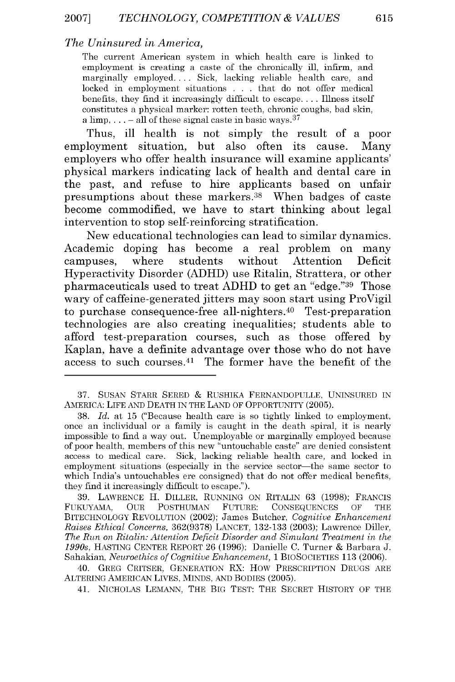#### *The Uninsured in America,*

The current American system in which health care is linked to employment is creating a caste of the chronically ill, infirm, and marginally employed.... Sick, lacking reliable health care, and locked in employment situations . . . that do not offer medical benefits, they find it increasingly difficult to escape.... Illness itself constitutes a physical marker: rotten teeth, chronic coughs, bad skin, a limp,  $\ldots$  – all of these signal caste in basic ways.  $37$ 

Thus, **ill** health is not simply the result of a poor employment situation, but also often its cause. Many employers who offer health insurance will examine applicants' physical markers indicating lack of health and dental care in the past, and refuse to hire applicants based on unfair presumptions about these markers.38 When badges of caste become commodified, we have to start thinking about legal intervention to stop self-reinforcing stratification.

New educational technologies can lead to similar dynamics. Academic doping has become a real problem on many campuses, where students without Attention Deficit Hyperactivity Disorder **(ADHD)** use Ritalin, Strattera, or other pharmaceuticals used to treat ADHD to get an "edge."<sup>39</sup> Those wary of caffeine-generated jitters may soon start using ProVigil to purchase consequence-free all-nighters.<sup>40</sup> Test-preparation technologies are also creating inequalities; students able to afford test-preparation courses, such as those offered **by** Kaplan, have a definite advantage over those who do not have access to such courses. $41$  The former have the benefit of the

<sup>37.</sup> SUSAN STARR SERED & RUSHIKA FERNANDOPULLE, UNINSURED IN AMERICA: LIFE AND DEATH IN THE LAND OF OPPORTUNITY (2005).

<sup>38.</sup> *Id.* at 15 ("Because health care is so tightly linked to employment, once an inclividual or a family is caught in the death spiral, it is nearly impossible to find a way out. Unemployable or marginally employed because of poor health, members of this new "untouchable caste" are denied consistent access to medical care. Sick, lacking reliable health care, and locked in employment situations (especially in the service sector-the same sector to which India's untouchables ere consigned) that do not offer medical benefits, they find it increasingly difficult to escape.").

<sup>39.</sup> LAWRENCE H. DILLER, RUNNING ON RITALIN 63 (1998); FRANCIS FUKUYAMA, OUR POSTHUMAN FUTURE: CONSEQUENCES OF THE BITECHNOLOGY REVOLUTION (2002); James Butcher, *Cognitive Enhancement Raises Ethical Concerns,* 362(9378) LANCET, 132-133 (2003); Lawrence Diller, *The Run on Ritalin: Attention Deficit Disorder and Simulant Treatment in the 1990s,* HASTING CENTER REPORT 26 (1996); Danielle C. Turner & Barbara J. Sahakian, *Neuroethics of Cognitive Enhancement,* 1 BIOSOCIETIES 113 (2006).

<sup>40.</sup> GREG CRITSER, GENERATION RX: How PRESCRIPTION DRUGS ARE ALTERING AMERICAN LIVES, MINDS, AND BODIES (2005).

<sup>41.</sup> NICHOLAS LEMANN, THE BIG TEST: THE SECRET HISTORY OF THE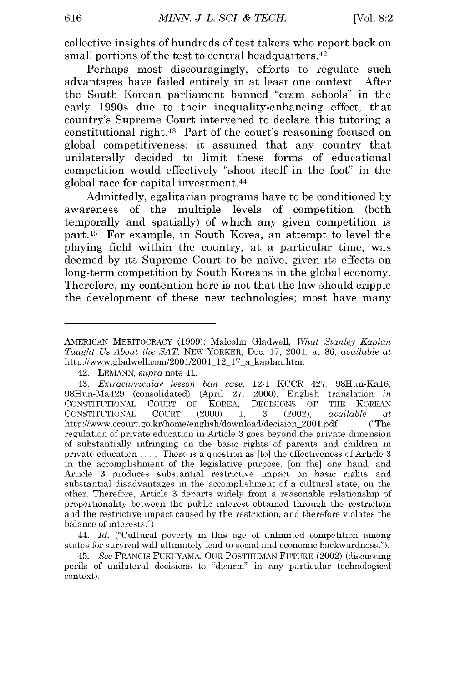collective insights of hundreds of test takers who report back on small portions of the test to central headquarters.<sup>42</sup>

Perhaps most discouragingly, efforts to regulate such advantages have failed entirely in at least one context. After the South Korean parliament banned "cram schools" in the early 1990s due to their inequality-enhancing effect, that country's Supreme Court intervened to declare this tutoring a constitutional right.<sup>43</sup> Part of the court's reasoning focused on global competitiveness; it assumed that any country that unilaterally decided to limit these forms of educational competition would effectively "shoot itself in the foot" in the global race for capital investment. <sup>44</sup>

Admittedly, egalitarian programs have to be conditioned **by** awareness of the multiple levels of competition (both temporally and spatially) of which any given competition is part. 45 For example, in South Korea, an attempt to level the playing field within the country, at a particular time, was deemed **by** its Supreme Court to be naive, given its effects on long-term competition **by** South Koreans in the global economy. Therefore, my contention here is not that the law should cripple the development of these new technologies; most have many

43. *Extracurricular lesson ban case,* 12-1 KCCR 427, 98flun-Kal6, 98Hun-Ma429 (consolidated) (April 27, 2000), English translation *in* CONSTITUTIONAL COURT OF KOREA, DECISIONS OF THE KOREAN CONSTITUTIONAL COURT (2000) 1, 3 (2002), *available at* http://www.ccourt.go.kr/home/english/download/decision\_2001.pdf ("The regulation of private education in Article 3 goes beyond the private dimension of substantially infringing on the basic rights of parents and children in private education .... There is a question as [to] the effectiveness of Article 3 in the accomplishment of the legislative purpose, [on the] one hand, and Article 3 produces substantial restrictive impact on basic rights and substantial disadvantages in the accomplishment of a cultural state, on the other. Therefore, Article 3 departs widely from a reasonable relationship of proportionality between the public interest obtained through the restriction and the restrictive impact caused by the restriction, and therefore violates the balance of interests.")

44. *Id.* ("Cultural poverty in this age of unlimited competition among states for survival will ultimately lead to social and economic backwardness.").

45. *See* FRANCIS FUKUYAMA, OUR POSTHUMAN FUTURE (2002) (discussing perils of unilateral decisions to "disarm" in any particular technological context).

AMERICAN MERITOCRACY (1999); Malcolm Gladwell, *What Stanley Kaplan Taught Us About the SAT,* NEW YORKER, Dec. 17, 2001, at 86, *available at* http://www.gladwell.com/2001/2001 12 17 a kaplan.htm.

<sup>42.</sup> LEMANN, *supra* note 41.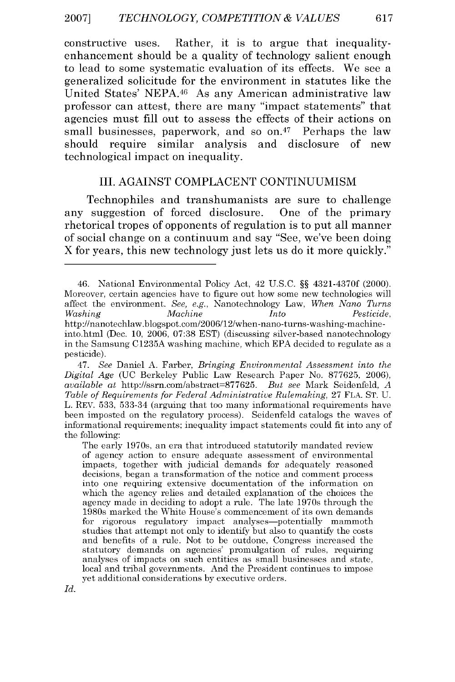constructive uses. Rather, it is to argue that inequalityenhancement should be a quality of technology salient enough to lead to some systematic evaluation of its effects. We see a generalized solicitude for the environment in statutes like the United States' **NEPA.46** As any American administrative law professor can attest, there are many "impact statements" that agencies must **fill** out to assess the effects of their actions on small businesses, paperwork, and so  $on.47$  Perhaps the law should require similar analysis and disclosure of new technological impact on inequality.

#### III. AGAINST COMPLACENT CONTINUUMISM

Technophiles and transhumanists are sure to challenge any suggestion of forced disclosure. One of the primary rhetorical tropes of opponents of regulation is to put all manner of social change on a continuum and say "See, we've been doing X for years, this new technology just lets us do it more quickly."

<sup>46.</sup> National Environmental Policy Act, 42 U.S.C. §§ 4321-4370f (2000). Moreover, certain agencies have to figure out how some new technologies will affect the environment. *See, e.g.,* Nanotechnology Law, *When Nano Turns Washing Machine Into Pesticide,* http ://nanotechlaw.blogspot.com/2006/12/when-nano-turns-washing-machineinto.html (Dec. 10, 2006, 07:38 EST) (discussing silver-based nanotechnology in the Samsung C1235A washing machine, which EPA decided to regulate as a pesticide).

<sup>47.</sup> *See* Daniel A. Farber, *Bringing Environmental Assessment into the Digital Age* (UC Berkeley Public Law Research Paper No. 877625, 2006), *available* at http://ssrn.com/abstract=877625. *But see* Mark Seidenfeld, *A Table of Requirements for Federal Administrative Rulemaking,* 27 FLA. ST. U. L. REV. 533, 533-34 (arguing that too many informational requirements have been imposted on the regulatory process). Seidenfeld catalogs the waves of informational requirements; inequality impact statements could fit into any of the following:

The early 1970s, an era that introduced statutorily mandated review of agency action to ensure adequate assessment of environmental impacts, together with judicial demands for adequately reasoned decisions, began a transformation of the notice and comment process into one requiring extensive documentation of the information on which the agency relies and detailed explanation of the choices the agency made in deciding to adopt a rule. The late 1970s through the 1980s marked the White House's commencement of its own demands for rigorous regulatory impact analyses—potentially mammoth studies that attempt not only to identify but also to quantify the costs and benefits of a rule. Not to be outdone, Congress increased the statutory demands on agencies' promulgation of rules, requiring analyses of impacts on such entities as small businesses and state, local and tribal governments. And the President continues to impose yet additional considerations by executive orders.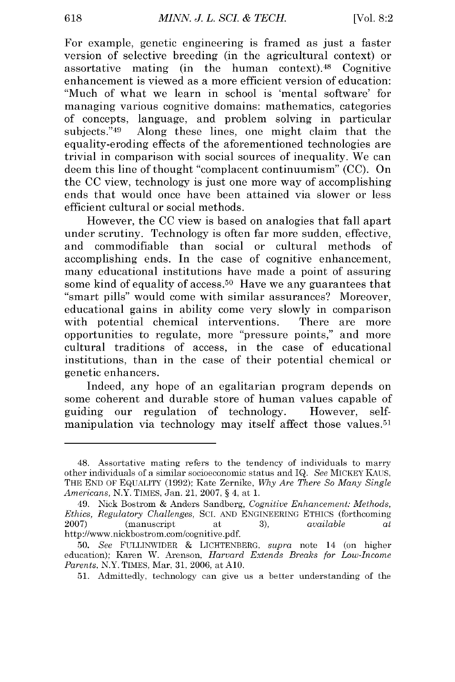For example, genetic engineering is framed as just a faster version of selective breeding (in the agricultural context) or assortative mating (in the human context). 48 Cognitive enhancement is viewed as a more efficient version of education: "Much of what we learn in school is 'mental software' for managing various cognitive domains: mathematics, categories of concepts, language, and problem solving in particular subjects."49 Along these lines, one might claim that the equality-eroding effects of the aforementioned technologies are trivial in comparison with social sources of inequality. We can deem this line of thought "complacent continuumism" (CC). On the CC view, technology is just one more way of accomplishing ends that would once have been attained via slower or less efficient cultural or social methods.

However, the CC view is based on analogies that fall apart under scrutiny. Technology is often far more sudden, effective, and commodifiable than social or cultural methods of accomplishing ends. In the case of cognitive enhancement, many educational institutions have made a point of assuring some kind of equality of access.<sup>50</sup> Have we any guarantees that ''smart pills" would come with similar assurances? Moreover, educational gains in ability come very slowly in comparison with potential chemical interventions. There are more opportunities to regulate, more "pressure points," and more cultural traditions of access, in the case of educational institutions, than in the case of their potential chemical or genetic enhancers.

Indeed, any hope of an egalitarian program depends on some coherent and durable store of human values capable of guiding our regulation of technology. However, selfmanipulation via technology may itself affect those values.<sup>51</sup>

<sup>48.</sup> Assortative mating refers to the tendency of individuals to marry other individuals of a similar socioeconomic status and IQ. *See* MICKEY KAUS, THE END OF EQUALITY (1992); Kate Zernike, *Why Are There So Many Single Americans,* N.Y. TIMES, Jan. 21, 2007, § 4, at 1.

<sup>49.</sup> Nick Bostrom & Anders Sandberg, *Cognitive Enhancement: Methods, Ethics, Regulatory Challenges,* **SCI.** AND ENGINEERING ETHICS (forthcoming 2007) (manuscript at 3), *available at* http://www.nickbostrom.com/cognitive.pdf.

<sup>50.</sup> *See* FULLINWIDER & LICHTENBERG, *supra* note 14 (on higher education); Karen W. Arenson, *Harvard Extends Breaks for Low-Income Parents,* N.Y. TIMES, Mar, 31, 2006, at **A10.**

<sup>51.</sup> Admittedly, technology can give us a better understanding of the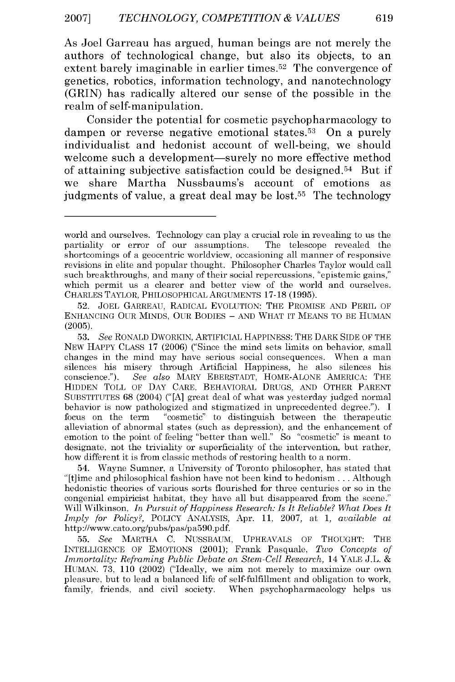As Joel Garreau has argued, human beings are not merely the authors of technological change, but also its objects, to an extent barely imaginable in earlier times.<sup>52</sup> The convergence of genetics, robotics, information technology, and nanotechnology (GRIN) has radically altered our sense of the possible in the realm of self-manipulation.

Consider the potential for cosmetic psychopharmacology to dampen or reverse negative emotional states.<sup>53</sup> On a purely individualist and hedonist account of well-being, we should welcome such a development—surely no more effective method of attaining subjective satisfaction could be designed.<sup>54</sup> But if we share Martha Nussbaums's account of emotions as iudgments of value, a great deal may be lost.<sup>55</sup> The technology

54. Wayne Sumner, a University of Toronto philosopher, has stated that "[t]ime and philosophical fashion have not been kind to hedonism... Although hedonistic theories of various sorts flourished for three centuries or so in the congenial empiricist habitat, they have all but disappeared from the scene." Will Wilkinson, *In Pursuit of Happiness Research: Is It Reliable? What Does It Imply* for Policy?, POLICY ANALYSIS, Apr. 11, 2007, at 1, *available at* http ://www.cato.org/pubs/pas/pa590.pdf.

55. *See* MARTHA C. NUSSBAUM, UPHEAVALS OF THOUGHT: THE INTELLIGENCE OF EMOTIONS (2001); Frank Pasquale, *Two Concepts of Immortality: Reframing Public Debate on Stem-Cell Research, 14 YALE J.L. &* HUMAN. 73, 110 (2002) ("Ideally, we aim not merely to maximize our own pleasure, but to lead a balanced life of self-fulfillment and obligation to work, family, friends, and civil society. When psychopharmacology helps us

world and ourselves. Technology can play a crucial role in revealing to us the partiality or error of our assumptions. The telescope revealed the shortcomings of a geocentric worldview, occasioning all manner of responsive revisions in elite and popular thought. Philosopher Charles Taylor would call such breakthroughs, and many of their social repercussions, "epistemic gains," which permit us a clearer and better view of the world and ourselves. CHARLES TAYLOR, PHILOSOPHICAL ARGUMENTS 17-18 (1995).

<sup>52.</sup> JOEL GARREAU, RADICAL EVOLUTION: THE PROMISE AND PERIL OF ENHANCING OUR MINDS, OUR BODIES **-** AND WHAT IT MEANS TO BE HUMAN (2005).

**<sup>53.</sup>** *See* RONALD DWORKIN, ARTIFICIAL HAPPINESS: THE DARK SIDE OF THE NEW HAPPY CLASS 17 (2006) ("Since the mind sets limits on behavior, small changes in the mind may have serious social consequences. When a man silences his misery through Artificial Happiness, he also silences his conscience."). *See also* MARY EBERSTADT, HOME-ALONE AMERICA: THE HIDDEN TOLL OF DAY CARE, BEHAVIORAL DRUGS, AND OTHER PARENT SUBSTITUTES 68 (2004) **("[A]** great deal of what was yesterday judged normal behavior is now pathologized and stigmatized in unprecedented degree."). **I** focus on the term "cosmetic" to distinguish between the therapeutic alleviation of abnormal states (such as depression), and the enhancement of emotion to the point of feeling "better than well." So "cosmetic" is meant to designate, not the triviality or superficiality of the intervention, but rather, how different it is from classic methods of restoring health to a norm.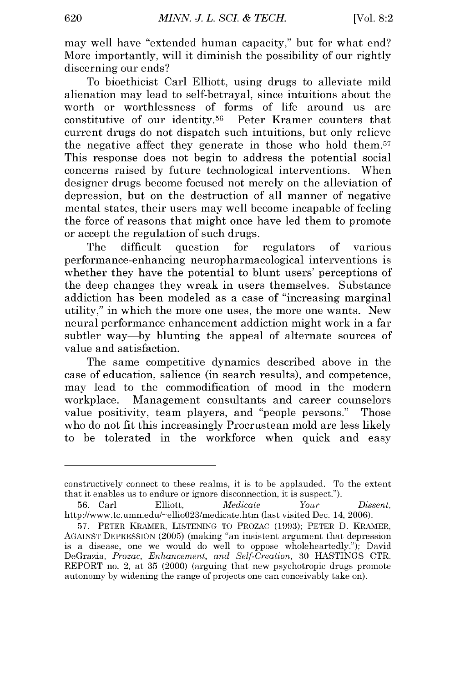may well have "extended human capacity," but for what end? More importantly, will it diminish the possibility of our rightly discerning our ends?

To bioethicist Carl Elliott, using drugs to alleviate mild alienation may lead to self-betrayal, since intuitions about the worth or worthlessness of forms of life around us are constitutive of our identity. 56 Peter Kramer counters that current drugs do not dispatch such intuitions, but only relieve the negative affect they generate in those who hold them.<sup>57</sup> This response does not begin to address the potential social concerns raised by future technological interventions. When designer drugs become focused not merely on the alleviation of depression, but on the destruction of all manner of negative mental states, their users may well become incapable of feeling the force of reasons that might once have led them to promote or accept the regulation of such drugs.

The difficult question for regulators of various performance-enhancing neuropharmacological interventions is whether they have the potential to blunt users' perceptions of the deep changes they wreak in users themselves. Substance addiction has been modeled as a case of "increasing marginal utility," in which the more one uses, the more one wants. New neural performance enhancement addiction might work in a far subtler way-by blunting the appeal of alternate sources of value and satisfaction.

The same competitive dynamics described above in the case of education, salience (in search results), and competence, may lead to the commodification of mood in the modern workplace. Management consultants and career counselors value positivity, team players, and "people persons." Those who do not fit this increasingly Procrustean mold are less likely to be tolerated in the workforce when quick and easy

constructively connect to these realms, it is to be applauded. To the extent that it enables us to endure or ignore disconnection, it is suspect.").

<sup>56.</sup> Carl Elliott, *Medicate Your Dissent,* http://www.tc.umn.edu/-ellio023/medicate.htm (last visited Dec. 14, 2006).

<sup>57.</sup> PETER KRAMER, LISTENING TO PROZAC (1993); PETER D. KRAMER, AGAINST DEPRESSION (2005) (making "an insistent argument that depression is a disease, one we would do well to oppose wholeheartedly."); David DeGrazia, *Prozac, Enhancement, and Self-Creation,* 30 HASTINGS CTR. REPORT no. 2, at 35 (2000) (arguing that new psychotropic drugs promote autonomy by widening the range of projects one can conceivably take on).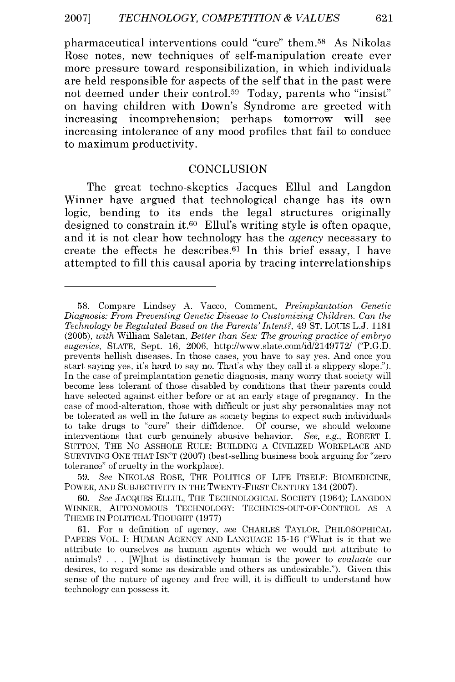pharmaceutical interventions could "cure" them.<sup>58</sup> As Nikolas Rose notes, new techniques of self-manipulation create ever more pressure toward responsibilization, in which individuals are held responsible for aspects of the self that in the past were not deemed under their control.<sup>59</sup> Today, parents who "insist" on having children with Down's Syndrome are greeted with increasing incomprehension; perhaps tomorrow will see increasing intolerance of any mood profiles that fail to conduce to maximum productivity.

#### **CONCLUSION**

The great techno-skeptics Jacques Ellul and Langdon Winner have argued that technological change has its own logic, bending to its ends the legal structures originally designed to constrain it.<sup>60</sup> Ellul's writing style is often opaque, and it is not clear how technology has the *agency* necessary to create the effects he describes.<sup>61</sup> In this brief essay, I have attempted to **fill** this causal aporia **by** tracing interrelationships

59. *See* NIKOLAS ROSE, THE POLITICS OF LIFE ITSELF: BIOMEDICINE, POWER, AND SUBJECTIVITY IN THE TWENTY-FIRST CENTURY 134 (2007).

60. *See* JACQUES ELLUL, THE TECHNOLOGICAL SOCIETY (1964); LANGDON WINNER, AUTONOMOUS TECHNOLOGY: TECHNICS-OUT-OF-CONTROL AS A THEME IN POLITICAL THOUGHT (1977)

61. For a definition of agency, *see* CHARLES TAYLOR, PHILOSOPHICAL PAPERS VOL. I: HUMAN AGENCY AND LANGUAGE 15-16 ("What is it that we attribute to ourselves as human agents which we would not attribute to animals? . . . [W]hat is distinctively human is the power to *evaluate* our desires, to regard some as desirable and others as undesirable."). Given this sense of the nature of agency and free will, it is difficult to understand how technology can possess it.

<sup>58.</sup> Compare Lindsey A. Vacco, Comment, *Preimplantation Genetic Diagnosis: From Preventing Genetic Disease to Customizing Children. Can the Technology be Regulated Based on the Parents' Intent?,* 49 ST. Louis L.J. 1181 (2005), *with* William Saletan, *Better than Sex: The growing practice of embryo eugenics,* SLATE, Sept. 16, 2006, http://www.slate.com/id/2149772/ ("P.G.D. prevents hellish diseases. In those cases, you have to say yes. And once you start saying yes, it's hard to say no. That's why they call it a slippery slope."). In the case of preimplantation genetic diagnosis, many worry that society will become less tolerant of those disabled by conditions that their parents could have selected against either before or at an early stage of pregnancy. In the case of mood-alteration, those with difficult or just shy personalities may not be tolerated as well in the future as society begins to expect such individuals to take drugs to "cure" their diffidence. Of course, we should welcome interventions that curb genuinely abusive behavior. *See, e.g.,* ROBERT I. SUTTON, THE No ASSHOLE RULE: BUILDING A CIVILIZED WORKPLACE AND SURVIVING ONE THAT ISN'T (2007) (best-selling business book arguing for "zero tolerance" of cruelty in the workplace).